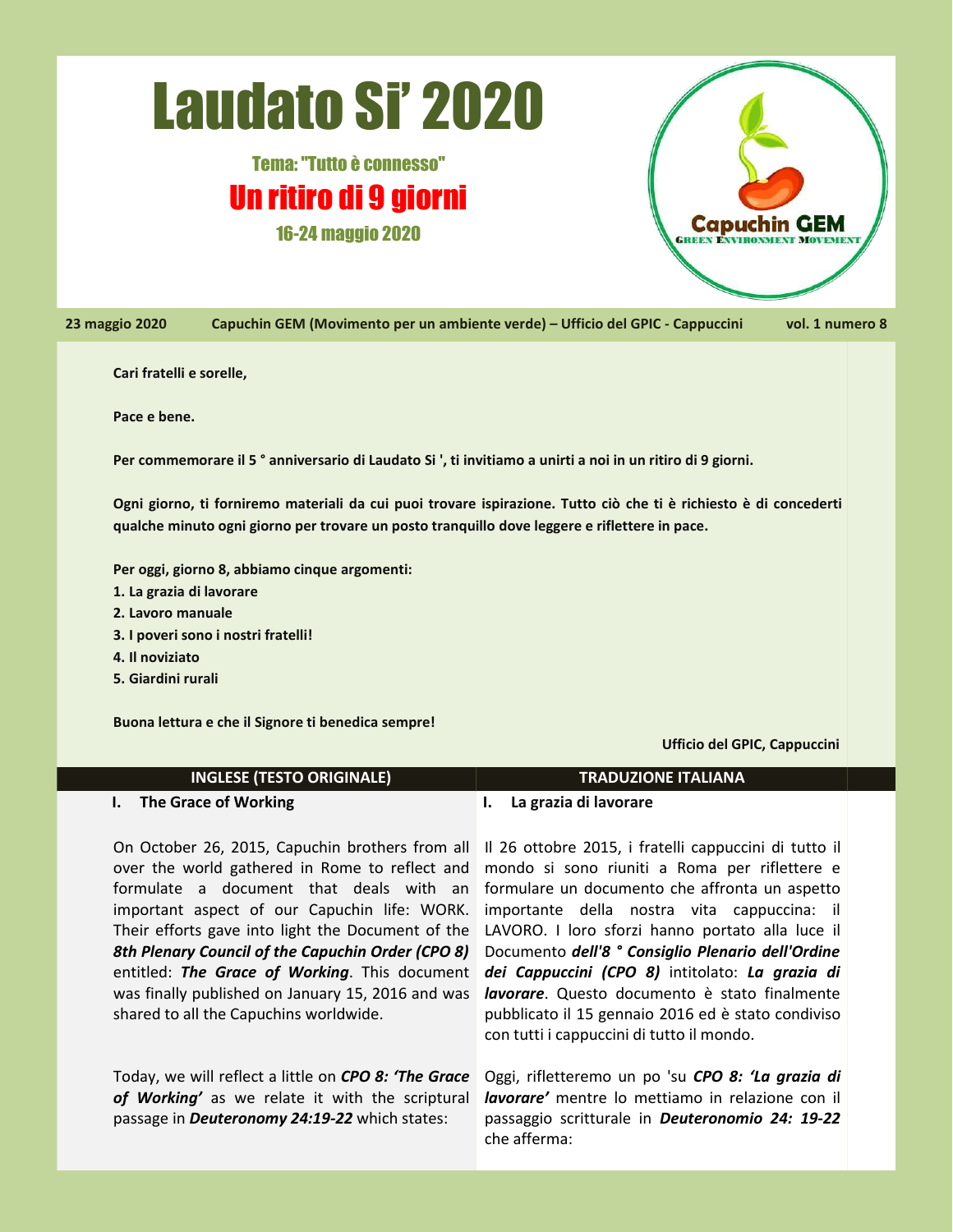# Laudato Si' 2020

## Tema:"Tutto è connesso" Un ritiro di 9 giorni 16-24 maggio 2020



23 maggio 2020 Capuchin GEM (Movimento per un ambiente verde) – Ufficio del GPIC - Cappuccini vol. 1 numero 8

#### **Cari fratelli e sorelle,**

**Pace e bene.**

Per commemorare il 5<sup>°</sup> anniversario di Laudato Si ', ti invitiamo a unirti a noi in un ritiro di 9 giorni.

Ogni giorno, ti forniremo materiali da cui puoi trovare ispirazione. Tutto ciò che ti è richiesto è di concederti **qualche minuto ogni giorno per trovare un posto tranquillo dove leggere e riflettere in pace.**

**Per oggi, giorno 8, abbiamo cinque argomenti:**

- **1. La grazia di lavorare**
- **2. Lavoro manuale**
- **3. I poveri sono i nostri fratelli!**
- **4. Il noviziato**
- **5. Giardini rurali**

**Buona lettura e che il Signore tibenedica sempre!**

**Ufficio del GPIC, Cappuccini**

#### **INGLESE (TESTO ORIGINALE) TRADUZIONE ITALIANA**

**I. The Grace of Working**

On October 26, 2015, Capuchin brothers from all over the world gathered in Rome to reflect and formulate a document that deals with an important aspect of our Capuchin life: WORK. Their efforts gave into light the Document of the *8th Plenary Council of the Capuchin Order (CPO 8)* entitled: *The Grace of Working*. This document was finally published on January 15, 2016 and was shared to all the Capuchins worldwide.

Today, we will reflect a little on *CPO 8: 'The Grace of Working'* as we relate it with the scriptural passage in *Deuteronomy 24:19-22* which states:

#### **I. La grazia di lavorare**

Il 26 ottobre 2015, ifratelli cappuccini di tutto il mondo si sono riuniti a Roma per riflettere e formulare un documento che affronta un aspetto importante della nostra vita cappuccina: il LAVORO. I loro sforzi hanno portato alla luce il Documento *dell'8 ° Consiglio Plenario dell'Ordine dei Cappuccini (CPO 8)* intitolato: *La grazia di lavorare*. Questo documento è stato finalmente pubblicato il 15 gennaio 2016 ed è stato condiviso con tutti i cappuccini di tutto il mondo.

Oggi, rifletteremo un po 'su *CPO 8:'La grazia di lavorare'* mentre lo mettiamo in relazione con il passaggio scritturale in *Deuteronomio 24: 19-22* che afferma: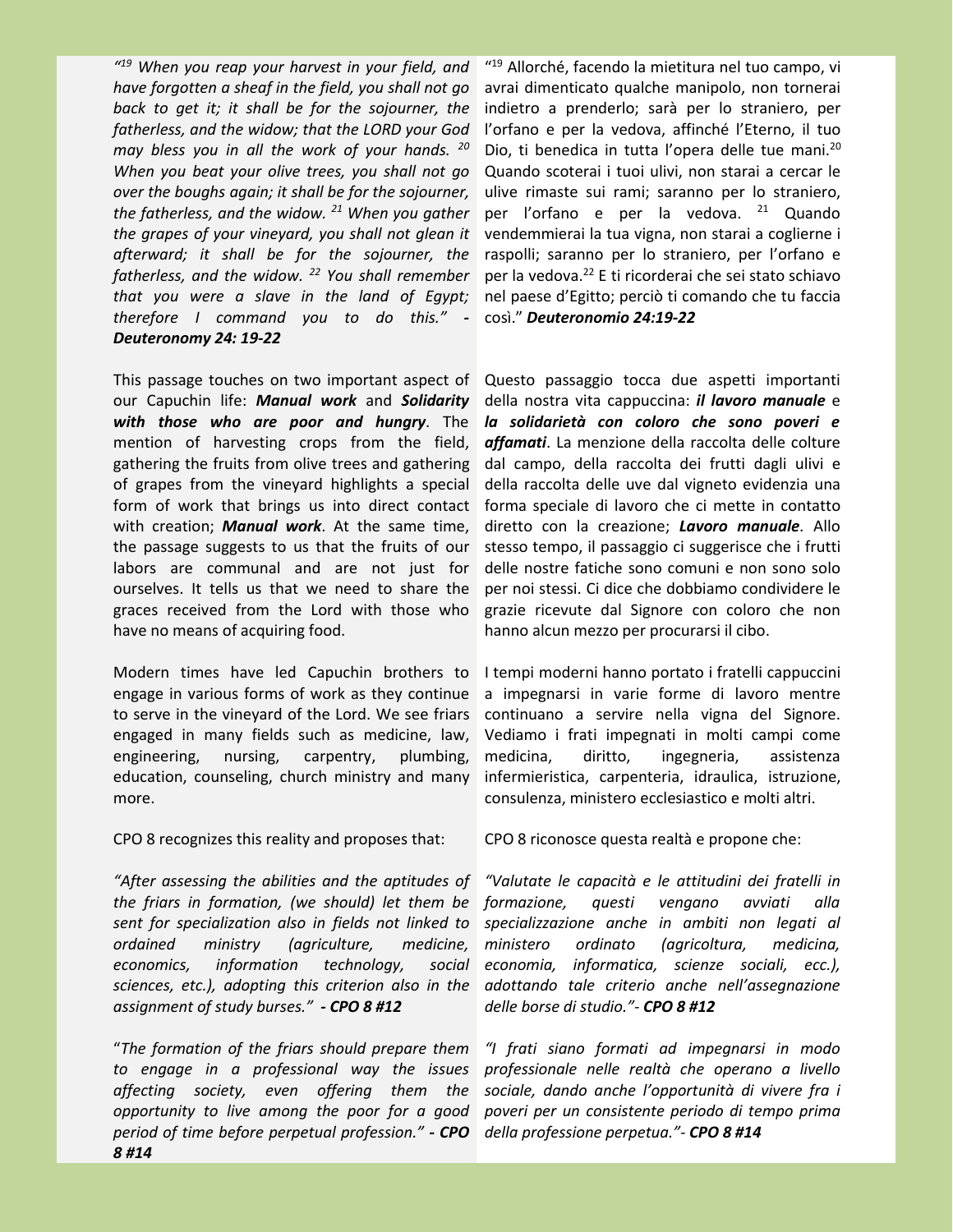*" <sup>19</sup> When you reap your harvest in your field, and have forgotten a sheaf in the field, you shall not go back to get it;it shall be for the sojourner, the fatherless, and the widow; that the LORD your God may bless you in all the work of your hands. <sup>20</sup> When you beat your olive trees, you shall not go* over the boughs again; it shall be for the sojourner,<br>the fatherless, and the widow.<sup>21</sup> When you gather *the grapes of your vineyard, you shall not glean it afterward; it shall be for the sojourner, the fatherless, and the widow.<sup>22</sup> You shall remember that you were a slave in the land of Egypt; therefore I command you to do this." - Deuteronomy 24: 19-22*

This passage touches on two important aspect of our Capuchin life: *Manual work* and *Solidarity with those who are poor and hungry*. The mention of harvesting crops from the field, gathering the fruits from olive trees and gathering of grapes from the vineyard highlights a special form of work that brings us into direct contact with creation; *Manual work*. At the same time, the passage suggests to us that the fruits of our labors are communal and are not just for ourselves. It tells us that we need to share the graces received from the Lord with those who have no means of acquiring food.

Modern times have led Capuchin brothers to engage in various forms of work as they continue to serve in the vineyard of the Lord. We see friars engaged in many fields such as medicine, law, engineering, nursing, carpentry, plumbing, medicina, education, counseling, church ministry and many more.

CPO 8 recognizes this reality and proposes that:

*"After assessing the abilities and the aptitudes of the friars in formation, (we should) let them be sent for specialization also in fields not linked to ordained ministry (agriculture, medicine, economics, information technology, social sciences, etc.), adopting this criterion also in the assignment of study burses." - CPO 8 #12*

"*The formation of the friars should prepare them to engage in a professional way the issues affecting society, even offering them the opportunity to live among the poor for a good period of time before perpetual profession." - CPO della professione perpetua."- CPO 8 #148 #14*

" <sup>19</sup> Allorché, facendo la mietitura nel tuo campo, vi avrai dimenticato qualche manipolo, non tornerai indietro a prenderlo; sarà per lo straniero, per l'orfano e per la vedova, affinché l'Eterno, il tuo Dio, ti benedica in tutta l'opera delle tue mani.<sup>20</sup> Quando scoterai i tuoi ulivi, non starai a cercar le ulive rimaste sui rami; saranno per lo straniero, per l'orfano e per la vedova. <sup>21</sup> Quando vendemmierai la tua vigna, non starai a coglierne i raspolli; saranno per lo straniero, per l'orfano e per la vedova.<sup>22</sup> E ti ricorderai che sei stato schiavo nel paese d'Egitto; perciò ti comando che tu faccia così." *Deuteronomio 24:19-22*

Questo passaggio tocca due aspetti importanti della nostra vita cappuccina: *il lavoro manuale* e *la solidarietà con coloro che sono poveri e affamati*. La menzione della raccolta delle colture dal campo, della raccolta dei frutti dagli ulivi e della raccolta delle uve dal vigneto evidenzia una forma speciale dilavoro che ci mette in contatto diretto con la creazione; *Lavoro manuale*. Allo stesso tempo, il passaggio ci suggerisce che i frutti delle nostre fatiche sono comuni e non sono solo per noi stessi. Ci dice che dobbiamo condividere le grazie ricevute dal Signore con coloro che non hanno alcun mezzo per procurarsi il cibo.

Itempi moderni hanno portato i fratelli cappuccini a impegnarsi in varie forme di lavoro mentre continuano a servire nella vigna del Signore. Vediamo i frati impegnati in molti campi come diritto, ingegneria, assistenza infermieristica, carpenteria, idraulica, istruzione, consulenza, ministero ecclesiastico e molti altri.

CPO 8 riconosce questa realtà e propone che:

*"Valutate le capacità e le attitudini dei fratelli in formazione, questi vengano avviati alla specializzazione anche in ambitinon legati al ministero ordinato (agricoltura, medicina, economia, informatica, scienze sociali, ecc.), adottando tale criterio anche nell'assegnazione delle borse di studio."- CPO 8 #12*

*"I frati siano formati ad impegnarsi in modo professionale nelle realtà che operano a livello sociale, dando anche l'opportunità di vivere fra i poveri per un consistente periodo di tempo prima*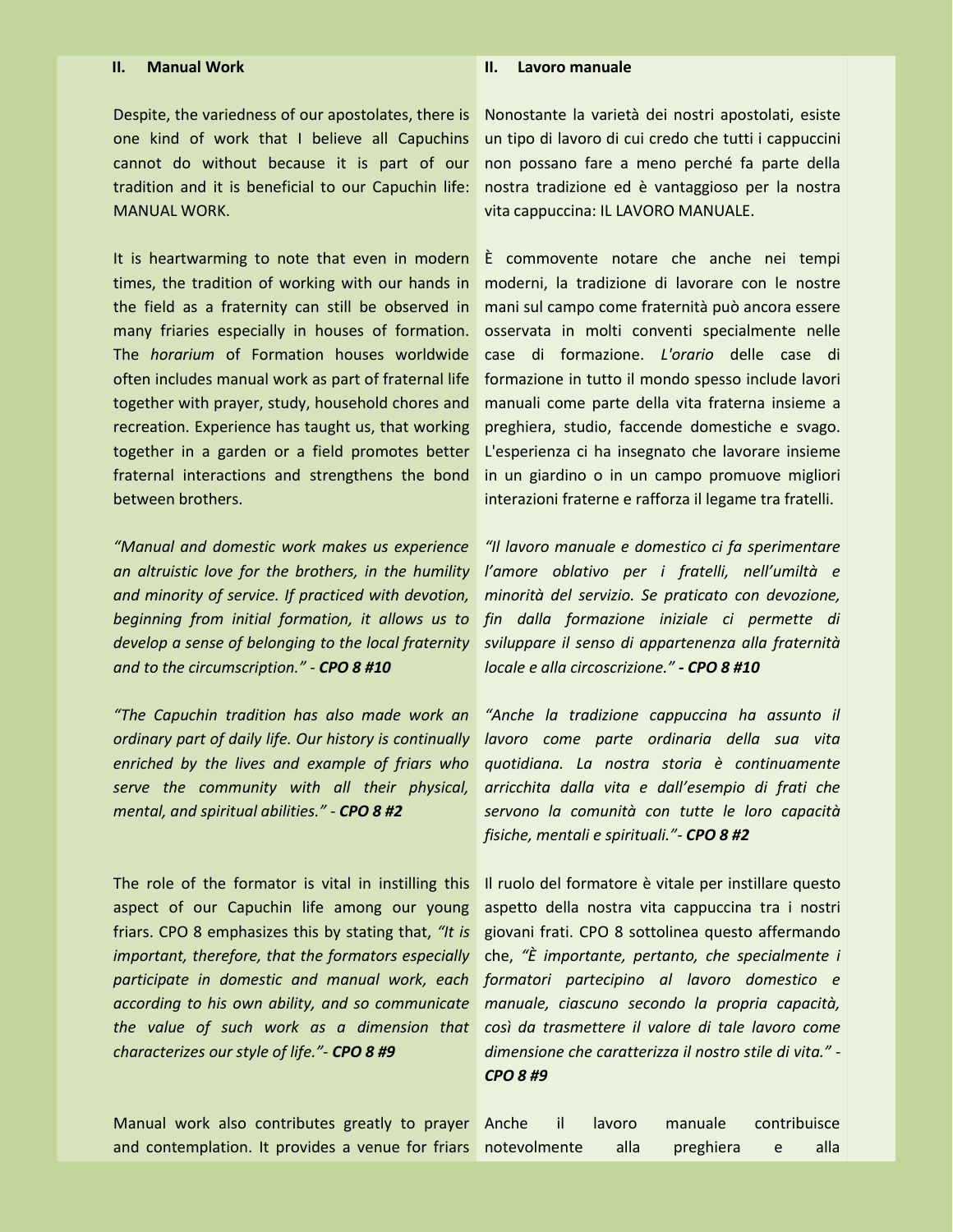### Despite, the variedness of our apostolates, there is one kind of work that I believe all Capuchins cannot do without because it is part of our tradition and it is beneficial to our Capuchin life: MANUAL WORK.

It is heartwarming to note that even in modern times, the tradition of working with our hands in the field as a fraternity can still be observed in many friaries especially in houses of formation. The *horarium* of Formation houses worldwide often includes manual work as part of fraternal life together with prayer, study, household chores and recreation. Experience has taught us, that working together in a garden or a field promotes better fraternal interactions and strengthens the bond between brothers.

*"Manual and domestic work makes us experience an altruistic love for the brothers, in the humility and minority of service. If practiced with devotion, beginning from initial formation, it allows us to develop a sense of belonging to the local fraternity and to the circumscription." - CPO 8 #10*

*"The Capuchin tradition has also made work an ordinary part of daily life. Our history is continually enriched by the lives and example of friars who serve the community with all their physical, mental, and spiritual abilities." - CPO 8 #2*

The role of the formator is vital in instilling this aspect of our Capuchin life among our young friars. CPO 8 emphasizes this by stating that, *"It is important, therefore, that the formators especially participate in domestic and manual work, each according to his own ability, and so communicate the value of such work as a dimension that characterizes our style of life."- CPO 8 #9*

Manual work also contributes greatly to prayer and contemplation. It provides a venue for friars

Nonostante la varietà dei nostri apostolati, esiste un tipo di lavoro di cui credo che tutti i cappuccini non possano fare a meno perché fa parte della nostra tradizione ed è vantaggioso per la nostra vita cappuccina: IL LAVORO MANUALE.

**II. Lavoro manuale**

È commovente notare che anche nei tempi moderni, la tradizione di lavorare con le nostre mani sul campo come fraternità può ancora essere osservata in molti conventi specialmente nelle case di formazione. *L'orario* delle case di formazione in tutto il mondo spesso include lavori manuali come parte della vita fraterna insieme a preghiera, studio, faccende domestiche e svago. L'esperienza ci ha insegnato che lavorare insieme in un giardino o in un campo promuove migliori interazioni fraterne e rafforza il legame tra fratelli.

*"Il lavoro manuale e domestico ci fa sperimentare l'amore oblativo per i fratelli, nell'umiltà e minorità del servizio. Se praticato con devozione, fin dalla formazione iniziale ci permette di sviluppare il senso di appartenenza alla fraternità locale e alla circoscrizione." - CPO 8 #10*

*"Anche la tradizione cappuccina ha assunto il lavoro come parte ordinaria della sua vita quotidiana. La nostra storia è continuamente arricchita dalla vita e dall'esempio di frati che servono la comunità con tutte le loro capacità fisiche, mentali e spirituali."- CPO 8 #2*

Il ruolo del formatore è vitale per instillare questo aspetto della nostra vita cappuccina tra i nostri giovani frati. CPO 8 sottolinea questo affermando che, *"È importante, pertanto, che specialmente i formatori partecipino al lavoro domestico e manuale, ciascuno secondo la propria capacità, così da trasmettere il valore di tale lavoro come dimensione che caratterizza il nostro stile di vita." - CPO 8 #9*

|              |           | Anche il lavoro manuale contribuisce |                   |  |
|--------------|-----------|--------------------------------------|-------------------|--|
| notevolmente | alla alla | preghiera e                          | alla <sup>'</sup> |  |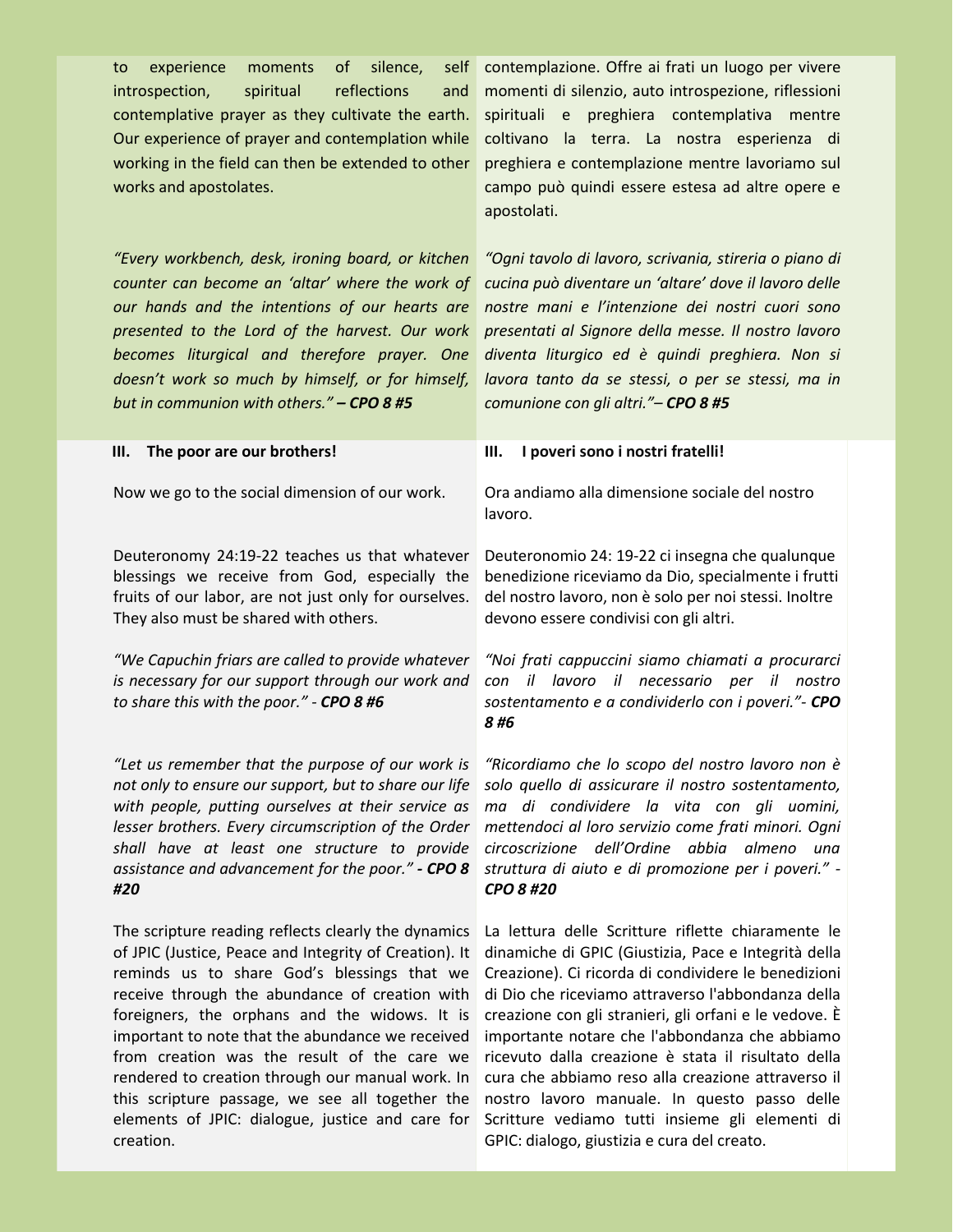contemplative prayer as they cultivate the earth. Our experience of prayer and contemplation while working in the field can then be extended to other works and apostolates.

*"Every workbench, desk, ironing board, or kitchen counter can become an 'altar' where the work of our hands and the intentions of our hearts are presented to the Lord of the harvest. Our work becomes liturgical and therefore prayer. One doesn't work so much by himself, or for himself, but in communion with others." – CPO 8 #5*

**III. The poor are our brothers!**

Now we go to the social dimension of our work.<br>Deuteronomy 24:19-22 teaches us that whatever

blessings we receive from God, especially the fruits of our labor, are not just only for ourselves. They also must be shared with others.

*"We Capuchin friarsare called to provide whatever is necessary for our support through our work and to share thiswith the poor." - CPO 8 #6*

*"Let us remember that the purpose of our work is not only to ensure our support, but to share our life with people, putting ourselves at their service as lesser brothers. Every circumscription of the Order shall have at least one structure to provide assistance and advancement for the poor." - CPO 8 #20*

The scripture reading reflects clearly the dynamics of JPIC (Justice, Peace and Integrity of Creation). It reminds us to share God's blessings that we receive through the abundance of creation with foreigners, the orphans and the widows. It is important to note that the abundance we received from creation was the result of the care we rendered to creation through our manual work. In this scripture passage, we see all together the elements of JPIC: dialogue, justice and care for creation.

to experience moments of silence, self contemplazione. Offre-ai-frati-un-luogo-per-vivere introspection, spiritual reflections and momenti di silenzio, auto introspezione, riflessioni spirituali e preghiera contemplativa mentre coltivano la terra. La nostra esperienza di preghiera e contemplazione mentre lavoriamo sul campo può quindi essere estesa ad altre opere e apostolati.

> *"Ogni tavolo di lavoro, scrivania, stireria o piano di cucina può diventare un 'altare' dove il lavoro delle nostre mani e l'intenzione dei nostri cuori sono presentati al Signore della messe. Il nostro lavoro diventa liturgico ed è quindi preghiera. Non si lavora tanto da se stessi, o per se stessi, ma in comunione con gli altri."– CPO 8 #5*

#### **III. I poveri sono i nostri fratelli!**

Ora andiamo alla dimensione sociale del nostro lavoro.

Deuteronomio 24: 19-22 ci insegna che qualunque benedizione riceviamo da Dio, specialmente i frutti del nostro lavoro, non è solo per noi stessi. Inoltre devono essere condivisi con gli altri.

*"Noi frati cappuccini siamo chiamati a procurarci con il lavoro il necessario per il nostro sostentamento e a condividerlo con i poveri."- CPO 8 #6*

*"Ricordiamo che lo scopo del nostro lavoro non è solo quello di assicurare il nostro sostentamento, ma di condividere la vita con gli uomini, mettendoci al loro servizio come frati minori. Ogni circoscrizione dell'Ordine abbia almeno una struttura di aiuto e di promozione per i poveri." - CPO 8 #20*

La lettura delle Scritture riflette chiaramente le dinamiche di GPIC (Giustizia, Pace e Integrità della Creazione). Ci ricorda di condividere le benedizioni di Dio che riceviamo attraverso l'abbondanza della creazione con gli stranieri, gli orfani e le vedove. È importante notare che l'abbondanza che abbiamo ricevuto dalla creazione è stata il risultato della cura che abbiamo reso alla creazione attraverso il nostro lavoro manuale. In questo passo delle Scritture vediamo tutti insieme gli elementi di GPIC: dialogo, giustizia e cura del creato.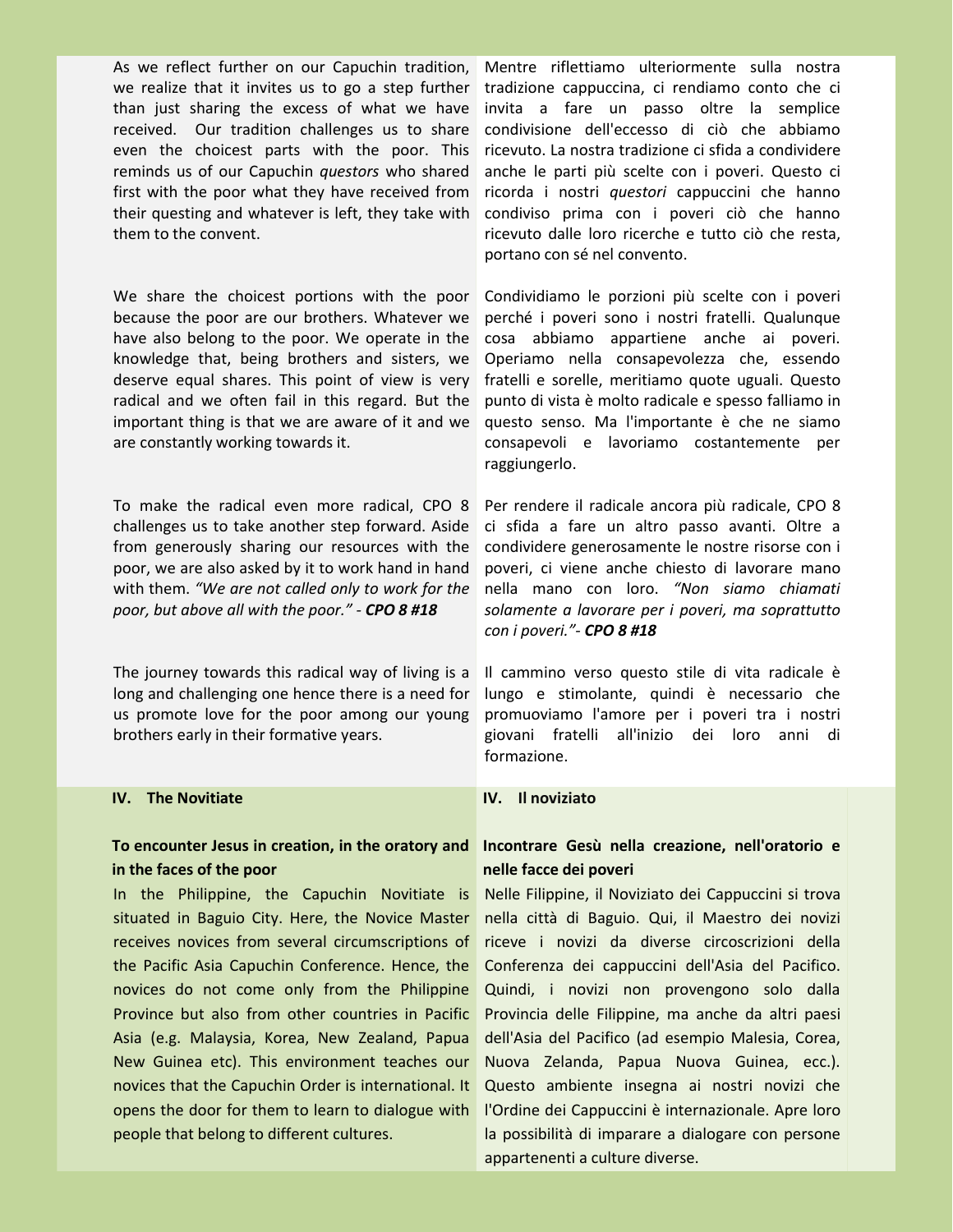As we reflect further on our Capuchin tradition, we realize that it invites us to go a step further than just sharing the excess of what we have received. Our tradition challenges us to share even the choicest parts with the poor. This reminds us of our Capuchin *questors* who shared first with the poor what they have received from their questing and whatever is left, they take with them to the convent.

We share the choicest portions with the poor because the poor are our brothers. Whatever we have also belong to the poor. We operate in the knowledge that, being brothers and sisters, we deserve equal shares. This point of view is very radical and we often fail in this regard. But the important thing is that we are aware of it and we are constantly working towards it.

To make the radical even more radical, CPO 8 challenges us to take another step forward. Aside from generously sharing our resources with the poor, we are also asked by it to work hand in hand with them. *"We are not called only to work for the poor, but above all with the poor." - CPO 8 #18*

The journey towards this radical way of living is a long and challenging one hence there is a need for us promote love for the poor among our young brothers early in their formative years.

#### **IV. The Novitiate**

#### **To encounter Jesus in creation, in the oratory and in the faces of the poor**

In the Philippine, the Capuchin Novitiate is situated in Baguio City. Here, the Novice Master receives novices from several circumscriptions of the Pacific Asia Capuchin Conference. Hence, the novices do not come only from the Philippine Province but also from other countries in Pacific Asia (e.g. Malaysia, Korea, New Zealand, Papua New Guinea etc). This environment teaches our novices that the Capuchin Order is international. It opens the door for them to learn to dialogue with people that belong to different cultures.

Mentre riflettiamo ulteriormente sulla nostra tradizione cappuccina, ci rendiamo conto che ci invita a fare un passo oltre la semplice condivisione dell'eccesso di ciò che abbiamo ricevuto. La nostra tradizione ci sfida a condividere anche le parti più scelte con i poveri. Questo ci ricorda i nostri *questori* cappuccini che hanno condiviso prima con i poveri ciò che hanno ricevuto dalle loro ricerche e tutto ciò che resta, portano con sé nel convento.

Condividiamo le porzioni più scelte con i poveri perché i poveri sono i nostri fratelli. Qualunque cosa abbiamo appartiene anche ai poveri. Operiamo nella consapevolezza che, essendo fratelli e sorelle, meritiamo quote uguali. Questo punto di vista è molto radicale e spesso falliamo in questo senso. Ma l'importante è che ne siamo consapevoli e lavoriamo costantemente per raggiungerlo.

Per rendere il radicale ancora più radicale, CPO 8 ci sfida a fare un altro passo avanti. Oltre a condividere generosamente le nostre risorse con i poveri, ci viene anche chiesto di lavorare mano nella mano con loro. *"Non siamo chiamati solamente a lavorare per i poveri, ma soprattutto con i poveri."- CPO 8 #18*

Il cammino verso questo stile di vita radicale è lungo e stimolante, quindi è necessario che promuoviamo l'amore per i poveri tra i nostri giovani fratelli all'inizio dei loro anni di formazione.

#### **IV. Il noviziato**

#### **Incontrare Gesù nella creazione, nell'oratorio e nelle facce dei poveri**

Nelle Filippine, il Noviziato dei Cappuccini si trova nella città di Baguio. Qui, il Maestro dei novizi riceve i novizi da diverse circoscrizioni della Conferenza dei cappuccini dell'Asia del Pacifico. Quindi, i novizi non provengono solo dalla Provincia delle Filippine, ma anche da altri paesi dell'Asia del Pacifico (ad esempio Malesia, Corea, Nuova Zelanda, Papua Nuova Guinea, ecc.). Questo ambiente insegna ai nostri novizi che l'Ordine dei Cappuccini è internazionale. Apre loro la possibilità di imparare a dialogare con persone appartenenti a culture diverse.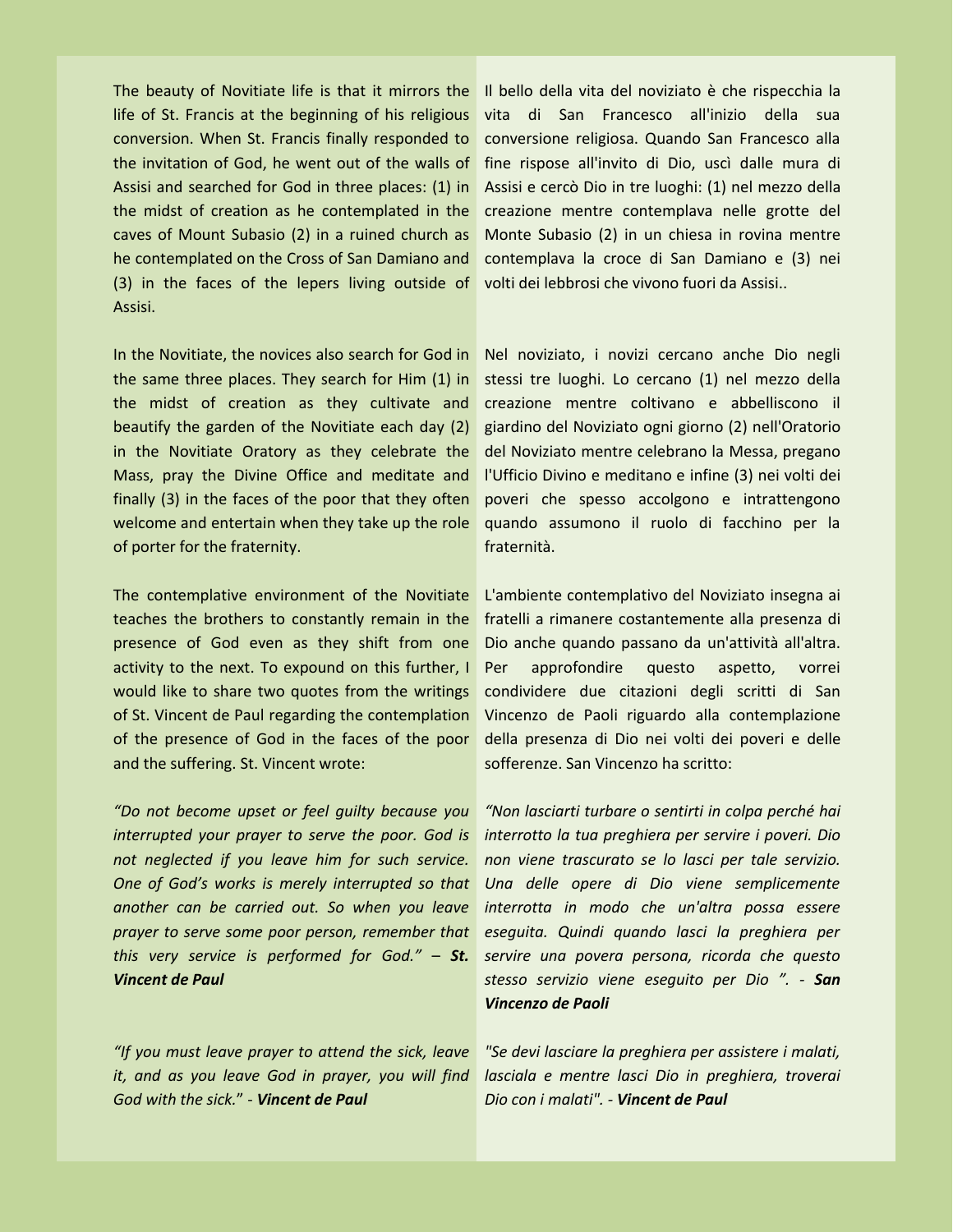The beauty of Novitiate life is that it mirrors the life of St. Francis at the beginning of his religious conversion. When St. Francis finally responded to the invitation of God, he went out of the walls of Assisi and searched for God in three places: (1) in the midst of creation as he contemplated in the caves of Mount Subasio (2) in a ruined church as he contemplated on the Cross of San Damiano and (3) in the faces of the lepers living outside of Assisi.

In the Novitiate, the novices also search for God in the same three places. They search for Him (1) in the midst of creation as they cultivate and beautify the garden of the Novitiate each day (2) in the Novitiate Oratory as they celebrate the Mass, pray the Divine Office and meditate and finally  $(3)$  in the faces of the poor that they often welcome and entertain when they take up the role of porter for the fraternity.

The contemplative environment of the Novitiate teaches the brothers to constantly remain in the presence of God even as they shift from one activity to the next. To expound on this further, I Per would like to share two quotes from the writings of St. Vincent de Paul regarding the contemplation of the presence of God in the faces of the poor and the suffering. St. Vincent wrote:

*"Do not become upset or feel guilty because you interrupted your prayer to serve the poor. God is not neglected if you leave him for such service. One of God's works is merely interrupted so that another can be carried out. So when you leave prayer to serve some poor person, remember that this very service is performed for God."* – *St. Vincent de Paul*

*"If you must leave prayer to attend the sick, leave it, and as you leave God in prayer, you will find God with the sick.*" - *Vincent de Paul*

Il bello della vita del noviziato è che rispecchia la vita di San Francesco all'inizio della sua conversione religiosa. Quando San Francesco alla fine rispose all'invito di Dio, uscì dalle mura di Assisi e cercò Dio in tre luoghi: (1) nel mezzo della creazione mentre contemplava nelle grotte del Monte Subasio (2) in un chiesa in rovina mentre contemplava la croce di San Damiano e (3) nei volti dei lebbrosi che vivono fuori da Assisi..

Nel noviziato, i novizi cercano anche Dio negli stessi tre luoghi. Lo cercano (1) nel mezzo della creazione mentre coltivano e abbelliscono il giardino del Noviziato ogni giorno (2) nell'Oratorio del Noviziato mentre celebrano la Messa, pregano l'Ufficio Divino e meditano e infine (3) nei volti dei poveri che spesso accolgono e intrattengono quando assumono il ruolo di facchino per la fraternità.

L'ambiente contemplativo del Noviziato insegna ai fratelli a rimanere costantemente alla presenza di Dio anche quando passano da un'attività all'altra. approfondire questo aspetto, vorrei condividere due citazioni degli scritti di San Vincenzo de Paoli riguardo alla contemplazione della presenza di Dio nei volti dei poveri e delle sofferenze. San Vincenzo ha scritto:

*"Non lasciarti turbare o sentirti in colpa perché hai interrotto la tua preghiera per servire i poveri. Dio non viene trascurato se lo lasci per tale servizio. Una delle opere di Dio viene semplicemente interrotta in modo che un'altra possa essere eseguita. Quindi quando lasci la preghiera per servire una povera persona, ricorda che questo stesso servizio viene eseguito per Dio ". - San Vincenzo de Paoli*

*"Se devi lasciare la preghiera per assistere i malati, lasciala e mentre lasci Dio in preghiera, troverai Dio con i malati". - Vincent de Paul*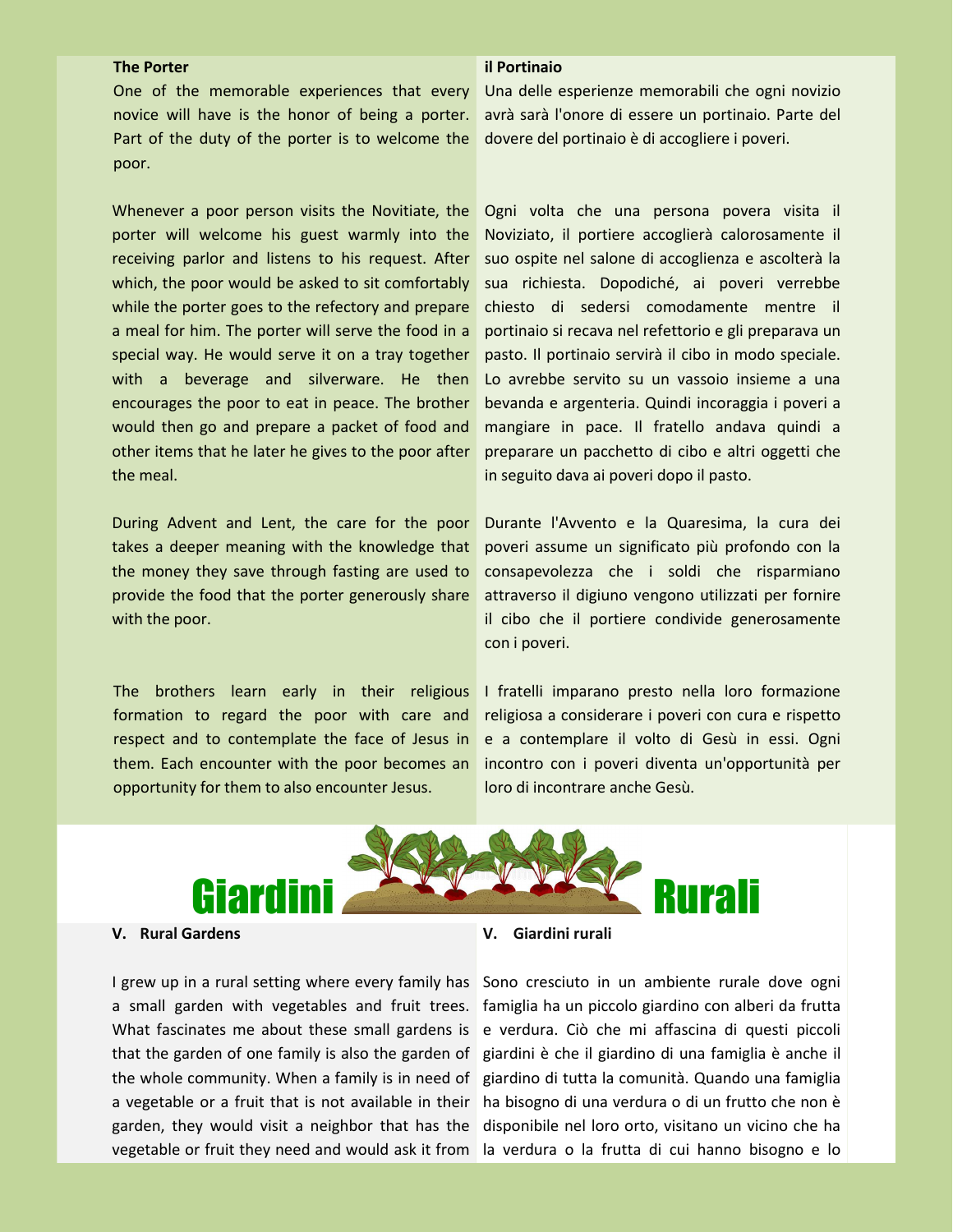#### **The Porter**

#### **il Portinaio**

One of the memorable experiences that every novice will have is the honor of being a porter. poor.

Whenever a poor person visits the Novitiate, the porter will welcome his guest warmly into the receiving parlor and listens to his request. After which, the poor would be asked to sit comfortably while the porter goes to the refectory and prepare a meal for him. The porter will serve the food in a special way. He would serve it on a tray together with a beverage and silverware. He then encourages the poor to eat in peace. The brother would then go and prepare a packet of food and other items that he later he gives to the poor after the meal.

During Advent and Lent, the care for the poor takes a deeper meaning with the knowledge that the money they save through fasting are used to provide the food that the porter generously share with the poor.

The brothers learn early in their religious formation to regard the poor with care and respect and to contemplate the face of Jesus in them. Each encounter with the poor becomes an opportunity for them to also encounter Jesus.

Part of the duty of the porter is to welcome the dovere del portinaio è di accogliere i poveri. Una delle esperienze memorabili che ogni novizio avrà sarà l'onore di essere un portinaio. Parte del

> Ogni volta che una persona povera visita il Noviziato, il portiere accoglierà calorosamente il suo ospite nel salone di accoglienza e ascolterà la sua richiesta. Dopodiché, ai poveri verrebbe chiesto di sedersi comodamente mentre il portinaio si recava nel refettorio e gli preparava un pasto. Il portinaio servirà il cibo in modo speciale. Lo avrebbe servito su un vassoio insieme a una bevanda e argenteria. Quindi incoraggia i poveri a mangiare in pace. Il fratello andava quindi a preparare un pacchetto di cibo e altri oggetti che in seguito dava ai poveri dopo il pasto.

> Durante l'Avvento e la Quaresima, la cura dei poveri assume un significato più profondo con la consapevolezza che i soldi che risparmiano attraverso il digiuno vengono utilizzati per fornire il cibo che il portiere condivide generosamente con i poveri.

> I fratelli imparano presto nella loro formazione religiosa a considerare i poveri con cura e rispetto e a contemplare il volto di Gesù in essi. Ogni incontro con i poveri diventa un'opportunità per loro di incontrare anche Gesù.



#### **V. Rural Gardens**

I grew up in a rural setting where every family has Sono cresciuto in un ambiente rurale dove ogni a small garden with vegetables and fruit trees. famiglia ha un piccolo giardino con alberi da frutta What fascinates me about these small gardens is e verdura. Ciò che mi affascina di questi piccoli that the garden of one family is also the garden of giardini è che il giardino di una famiglia è anche il the whole community. When a family is in need of giardino di tutta la comunità. Quando una famiglia a vegetable or a fruit that is not available in their ha bisogno di una verdura o di un frutto che non è garden, they would visit a neighbor that has the disponibile nel loro orto, visitano un vicino che ha vegetable or fruit they need and would ask it from la verdura o la frutta di cui hanno bisogno e lo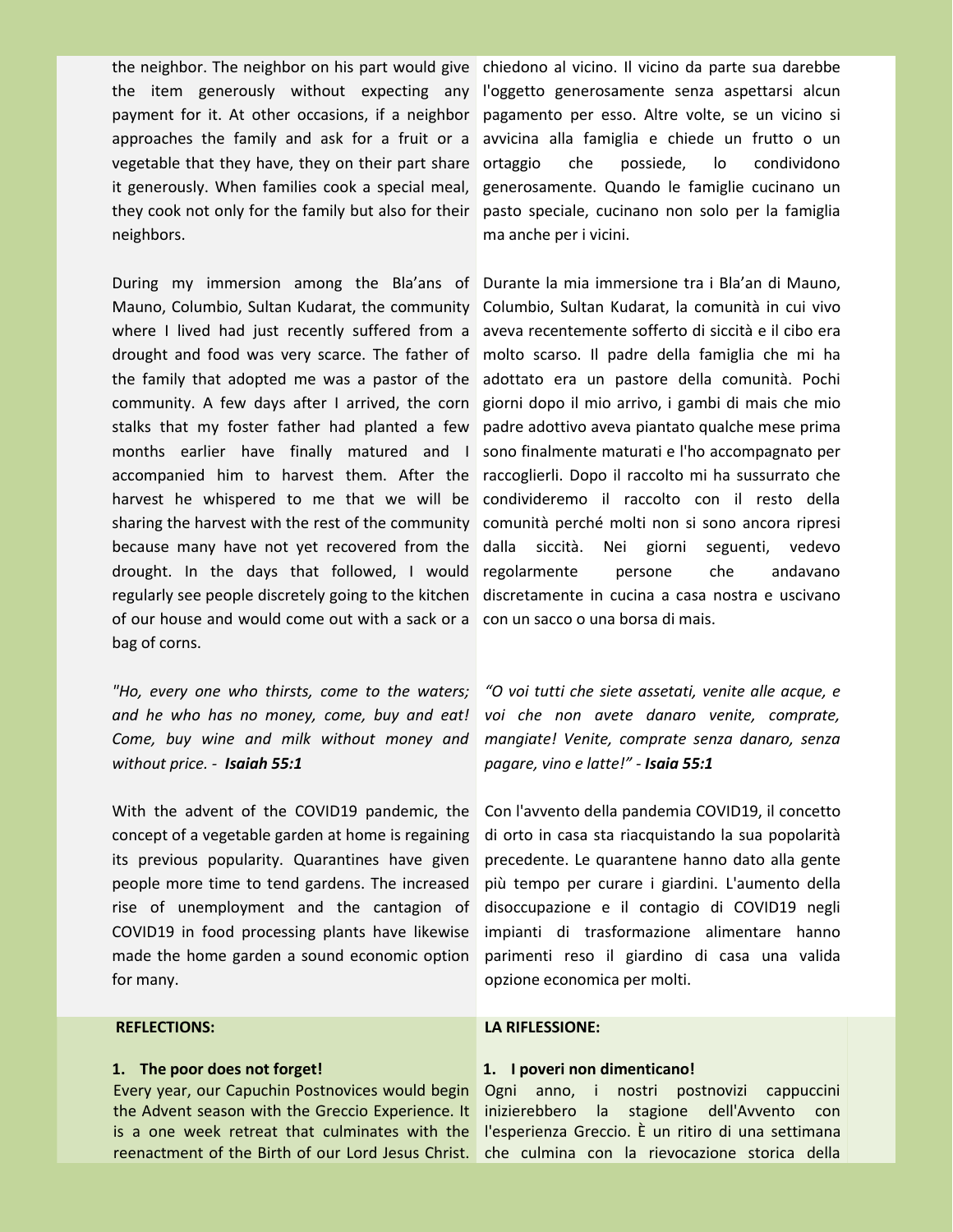the neighbor. The neighbor on his part would give chiedono al vicino. Il vicino da parte sua darebbe the item generously without expecting any l'oggetto generosamente senza aspettarsi alcun payment for it. At other occasions, if a neighbor pagamento per esso. Altre volte, se un vicino si approaches the family and ask for a fruit or a avvicina alla famiglia e chiede un frutto o un vegetable that they have, they on their part share ortaggio che possiede, it generously. When families cook a special meal, generosamente. Quando le famiglie cucinano un they cook not only for the family but also for their pasto speciale, cucinano non solo per la famiglia and the neighbors. neighbors.<br>During my immersion among the Bla'ans of Durante la mia immersione tra i Bla'an di Mauno,<br>During my immersion among the Bla'ans of Durante la mia immersione tra i Bla'an di Mauno,

Mauno, Columbio, Sultan Kudarat, the community Columbio, Sultan Kudarat, la comunità in cui vivo where I lived had just recently suffered from a aveva recentemente sofferto di siccità e il cibo era drought and food was very scarce. The father of molto scarso. Il padre della famiglia che mi ha the family that adopted me was a pastor of the adottato era un pastore della comunità. Pochi community. A few days after I arrived, the corn giorni dopo il mio arrivo, i gambi di mais che mio stalks that my foster father had planted a few padre adottivo aveva piantato qualche mese prima months earlier have finally matured and I sono-finalmente-maturati-e-l'ho-accompagnato-per accompanied him to harvest them. After the raccoglierli. Dopo il raccolto mi ha sussurrato che harvest he whispered to me that we will be condivideremo il raccolto con il resto della sharing the harvest with the rest of the community comunità perché molti non si sono ancora ripresi because many have not yet recovered from the dalla siccità. Nei giorni drought. In the days that followed, I would regolarmente persone che andavano regularly see people discretely going to the kitchen discretamente in cucina a casa nostra e uscivano of our house and would come out with a sack or a con un sacco o una borsa di mais. bag of corns.

*and he who has no money, come, buy and eat! Come, buy wine and milk without money and without price. - Isaiah 55:1*

With the advent of the COVID19 pandemic, the Con l'avvento della pandemia COVID19, il concetto concept of a vegetable garden at home is regaining its previous popularity. Quarantines have given people more time to tend gardens. The increased rise of unemployment and the cantagion of COVID19 in food processing plants have likewise made the home garden a sound economic option for many.

#### **REFLECTIONS:**

#### **1. The poor does not forget!**

Every year, our Capuchin Postnovices would begin the Advent season with the Greccio Experience. It is a one week retreat that culminates with the reenactment of the Birth of our Lord Jesus Christ. che culmina con la rievocazione storica della

lo condividono

seguenti, vedevo

"Ho, every one who thirsts, come to the waters; "O voi tutti che siete assetati, venite alle acque, e *voi che non avete danaro venite, comprate, mangiate! Venite, comprate senza danaro, senza pagare, vino elatte!" - Isaia 55:1*

> di orto in casa sta riacquistando la sua popolarità precedente. Le quarantene hanno dato alla gente più tempo per curare i giardini. L'aumento della disoccupazione e il contagio di COVID19 negli impianti di trasformazione alimentare hanno parimenti reso il giardino di casa una valida opzione economica per molti.

#### **LA RIFLESSIONE:**

#### **1. I poveri non dimenticano!**

Ogni anno, i nostri postnovizi cappuccini inizierebbero la stagione dell'Avvento con l'esperienza Greccio. È un ritiro di una settimana